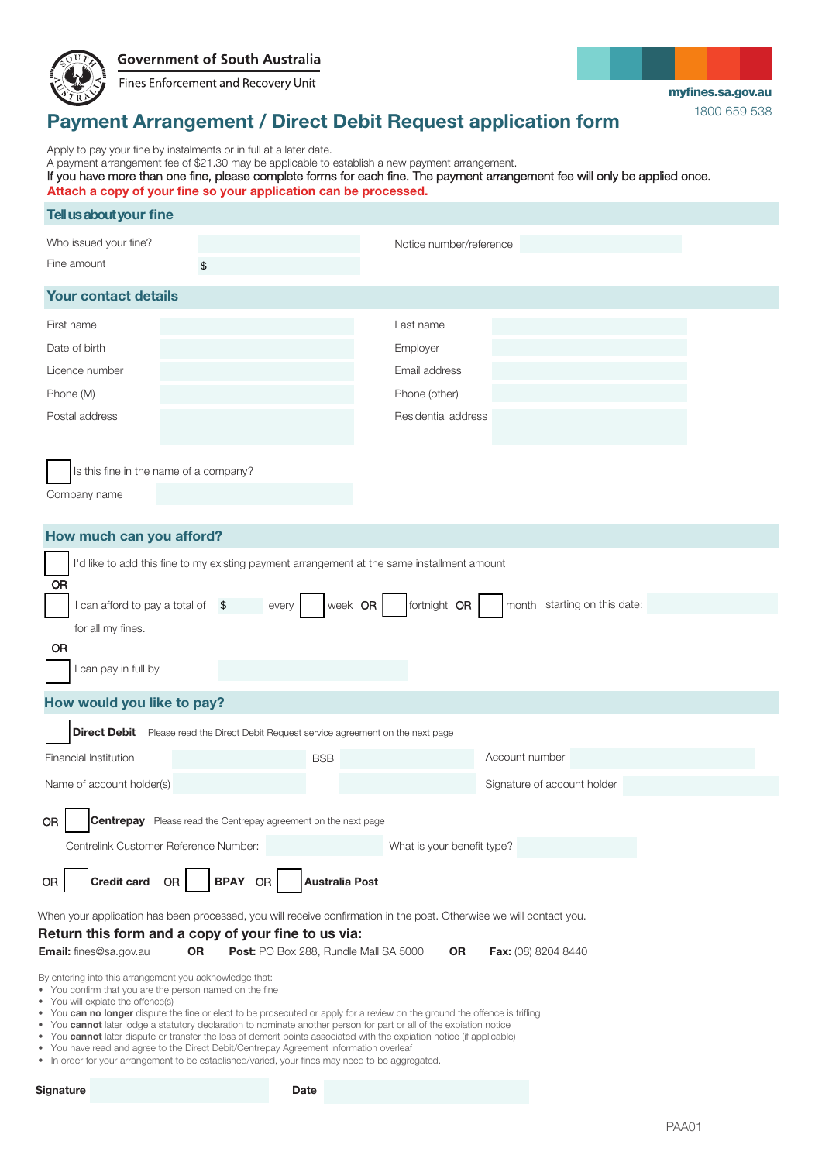**Government of South Australia** 



Fines Enforcement and Recovery Unit

myfines.sa.gov.au

1800 659 538

# Payment Arrangement / Direct Debit Request application form

Apply to pay your fine by instalments or in full at a later date.

A payment arrangement fee of \$21.30 may be applicable to establish a new payment arrangement.

If you have more than one fine, please complete forms for each fine. The payment arrangement fee will only be applied once.

Attach a copy of your fine so your application can be processed.

| Tell us about your fine                                                                                                                                                    |                                                                                                                                                                                                                                                                                                                                                                                                                                            |                                                                                                                            |
|----------------------------------------------------------------------------------------------------------------------------------------------------------------------------|--------------------------------------------------------------------------------------------------------------------------------------------------------------------------------------------------------------------------------------------------------------------------------------------------------------------------------------------------------------------------------------------------------------------------------------------|----------------------------------------------------------------------------------------------------------------------------|
| Who issued your fine?                                                                                                                                                      |                                                                                                                                                                                                                                                                                                                                                                                                                                            | Notice number/reference                                                                                                    |
| Fine amount                                                                                                                                                                | \$                                                                                                                                                                                                                                                                                                                                                                                                                                         |                                                                                                                            |
| <b>Your contact details</b>                                                                                                                                                |                                                                                                                                                                                                                                                                                                                                                                                                                                            |                                                                                                                            |
| First name                                                                                                                                                                 |                                                                                                                                                                                                                                                                                                                                                                                                                                            | Last name                                                                                                                  |
| Date of birth                                                                                                                                                              |                                                                                                                                                                                                                                                                                                                                                                                                                                            | Employer                                                                                                                   |
| Licence number                                                                                                                                                             |                                                                                                                                                                                                                                                                                                                                                                                                                                            | Email address                                                                                                              |
| Phone (M)                                                                                                                                                                  |                                                                                                                                                                                                                                                                                                                                                                                                                                            | Phone (other)                                                                                                              |
| Postal address                                                                                                                                                             |                                                                                                                                                                                                                                                                                                                                                                                                                                            | Residential address                                                                                                        |
| Is this fine in the name of a company?<br>Company name                                                                                                                     |                                                                                                                                                                                                                                                                                                                                                                                                                                            |                                                                                                                            |
| How much can you afford?                                                                                                                                                   |                                                                                                                                                                                                                                                                                                                                                                                                                                            |                                                                                                                            |
| I'd like to add this fine to my existing payment arrangement at the same installment amount                                                                                |                                                                                                                                                                                                                                                                                                                                                                                                                                            |                                                                                                                            |
| <b>OR</b>                                                                                                                                                                  |                                                                                                                                                                                                                                                                                                                                                                                                                                            |                                                                                                                            |
| I can afford to pay a total of \$<br>month starting on this date:<br>week OR<br>fortnight OR<br>every                                                                      |                                                                                                                                                                                                                                                                                                                                                                                                                                            |                                                                                                                            |
| for all my fines.<br>OR                                                                                                                                                    |                                                                                                                                                                                                                                                                                                                                                                                                                                            |                                                                                                                            |
| I can pay in full by                                                                                                                                                       |                                                                                                                                                                                                                                                                                                                                                                                                                                            |                                                                                                                            |
| How would you like to pay?                                                                                                                                                 |                                                                                                                                                                                                                                                                                                                                                                                                                                            |                                                                                                                            |
|                                                                                                                                                                            | <b>Direct Debit</b> Please read the Direct Debit Request service agreement on the next page                                                                                                                                                                                                                                                                                                                                                |                                                                                                                            |
| <b>Financial Institution</b>                                                                                                                                               | <b>BSB</b>                                                                                                                                                                                                                                                                                                                                                                                                                                 | Account number                                                                                                             |
| Name of account holder(s)                                                                                                                                                  |                                                                                                                                                                                                                                                                                                                                                                                                                                            | Signature of account holder                                                                                                |
| <b>Centrepay</b> Please read the Centrepay agreement on the next page<br>0R                                                                                                |                                                                                                                                                                                                                                                                                                                                                                                                                                            |                                                                                                                            |
| Centrelink Customer Reference Number:<br>What is your benefit type?                                                                                                        |                                                                                                                                                                                                                                                                                                                                                                                                                                            |                                                                                                                            |
| <b>Credit card</b><br><b>OR</b><br><b>OR</b>                                                                                                                               | BPAY OR<br><b>Australia Post</b>                                                                                                                                                                                                                                                                                                                                                                                                           |                                                                                                                            |
|                                                                                                                                                                            |                                                                                                                                                                                                                                                                                                                                                                                                                                            |                                                                                                                            |
| When your application has been processed, you will receive confirmation in the post. Otherwise we will contact you.<br>Return this form and a copy of your fine to us via: |                                                                                                                                                                                                                                                                                                                                                                                                                                            |                                                                                                                            |
| Email: fines@sa.gov.au                                                                                                                                                     | <b>OR</b><br>Post: PO Box 288, Rundle Mall SA 5000                                                                                                                                                                                                                                                                                                                                                                                         | OR<br><b>Fax:</b> (08) 8204 8440                                                                                           |
| By entering into this arrangement you acknowledge that:<br>• You confirm that you are the person named on the fine<br>• You will expiate the offence(s)                    | • You cannot later lodge a statutory declaration to nominate another person for part or all of the expiation notice<br>• You cannot later dispute or transfer the loss of demerit points associated with the expiation notice (if applicable)<br>• You have read and agree to the Direct Debit/Centrepay Agreement information overleaf<br>• In order for your arrangement to be established/varied, your fines may need to be aggregated. | • You can no longer dispute the fine or elect to be prosecuted or apply for a review on the ground the offence is trifling |
| Signature                                                                                                                                                                  | Date                                                                                                                                                                                                                                                                                                                                                                                                                                       |                                                                                                                            |